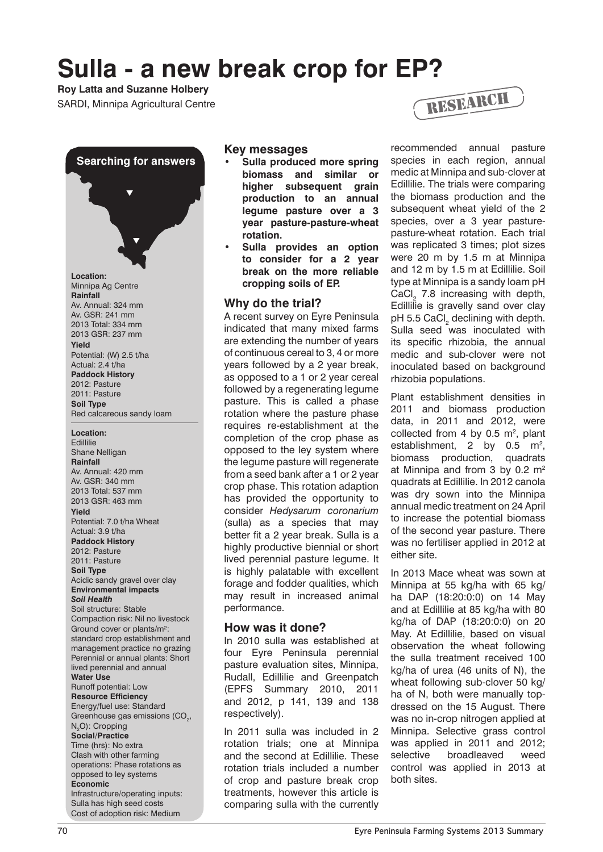# **Sulla - a new break crop for EP?**

## **Roy Latta and Suzanne Holbery**



2011: Pasture **Soil Type** Red calcareous sandy loam

#### **Location:**

**Edillilie** Shane Nelligan **Rainfall** Av. Annual: 420 mm Av. GSR: 340 mm 2013 Total: 537 mm 2013 GSR: 463 mm **Yield** Potential: 7.0 t/ha Wheat Actual: 3.9 t/ha **Paddock History** 2012: Pasture 2011: Pasture **Soil Type** Acidic sandy gravel over clay **Environmental impacts** *Soil Health* Soil structure: Stable Compaction risk: Nil no livestock Ground cover or plants/m²: standard crop establishment and management practice no grazing Perennial or annual plants: Short lived perennial and annual **Water Use** Runoff potential: Low **Resource Efficiency** Energy/fuel use: Standard Greenhouse gas emissions (CO<sub>2</sub>, N<sub>2</sub>O): Cropping **Social/Practice** Time (hrs): No extra Clash with other farming operations: Phase rotations as opposed to ley systems **Economic** Infrastructure/operating inputs: Sulla has high seed costs Cost of adoption risk: Medium

#### **Key messages**

- **Sulla produced more spring biomass and similar or higher subsequent grain production to an annual legume pasture over a 3 year pasture-pasture-wheat rotation.**
- **Sulla provides an option to consider for a 2 year break on the more reliable cropping soils of EP.**

### **Why do the trial?**

A recent survey on Eyre Peninsula indicated that many mixed farms are extending the number of years of continuous cereal to 3, 4 or more years followed by a 2 year break, as opposed to a 1 or 2 year cereal followed by a regenerating legume pasture. This is called a phase rotation where the pasture phase requires re-establishment at the completion of the crop phase as opposed to the ley system where the legume pasture will regenerate from a seed bank after a 1 or 2 year crop phase. This rotation adaption has provided the opportunity to consider *Hedysarum coronarium*  (sulla) as a species that may better fit a 2 year break. Sulla is a highly productive biennial or short lived perennial pasture legume. It is highly palatable with excellent forage and fodder qualities, which may result in increased animal performance.

#### **How was it done?**

In 2010 sulla was established at four Eyre Peninsula perennial pasture evaluation sites, Minnipa, Rudall, Edillilie and Greenpatch (EPFS Summary 2010, 2011 and 2012, p 141, 139 and 138 respectively).

In 2011 sulla was included in 2 rotation trials; one at Minnipa and the second at Edillilie. These rotation trials included a number of crop and pasture break crop treatments, however this article is comparing sulla with the currently



recommended annual pasture species in each region, annual medic at Minnipa and sub-clover at Edillilie. The trials were comparing the biomass production and the subsequent wheat yield of the 2 species, over a 3 year pasturepasture-wheat rotation. Each trial was replicated 3 times; plot sizes were 20 m by 1.5 m at Minnipa and 12 m by 1.5 m at Edillilie. Soil type at Minnipa is a sandy loam pH  $CaCl<sub>2</sub>$  7.8 increasing with depth, Edillilie is gravelly sand over clay pH 5.5 CaCl<sub>2</sub> declining with depth. Sulla seed was inoculated with its specific rhizobia, the annual medic and sub-clover were not inoculated based on background rhizobia populations.

Plant establishment densities in 2011 and biomass production data, in 2011 and 2012, were collected from 4 by 0.5  $m^2$ , plant establishment, 2 by  $0.5 \text{ m}^2$ , biomass production, quadrats at Minnipa and from 3 by 0.2  $m<sup>2</sup>$ quadrats at Edillilie. In 2012 canola was dry sown into the Minnipa annual medic treatment on 24 April to increase the potential biomass of the second year pasture. There was no fertiliser applied in 2012 at either site.

In 2013 Mace wheat was sown at Minnipa at 55 kg/ha with 65 kg/ ha DAP (18:20:0:0) on 14 May and at Edillilie at 85 kg/ha with 80 kg/ha of DAP (18:20:0:0) on 20 May. At Edillilie, based on visual observation the wheat following the sulla treatment received 100 kg/ha of urea (46 units of N), the wheat following sub-clover 50 kg/ ha of N, both were manually topdressed on the 15 August. There was no in-crop nitrogen applied at Minnipa. Selective grass control was applied in 2011 and 2012; selective broadleaved weed control was applied in 2013 at both sites.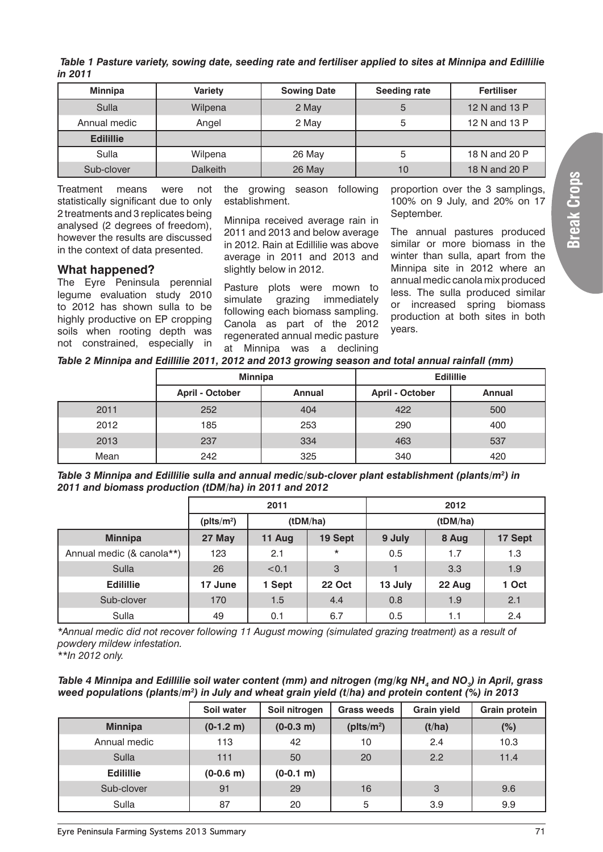**Break Crops**

| Table 1 Pasture variety, sowing date, seeding rate and fertiliser applied to sites at Minnipa and Edillilie |
|-------------------------------------------------------------------------------------------------------------|
| in 2011                                                                                                     |

| <b>Minnipa</b>   | <b>Variety</b>  | <b>Sowing Date</b> | <b>Seeding rate</b> | <b>Fertiliser</b> |
|------------------|-----------------|--------------------|---------------------|-------------------|
| Sulla            | Wilpena         | 2 May              | 5                   | 12 N and 13 P     |
| Annual medic     | Angel           | 2 May              | 5                   | 12 N and 13 P     |
| <b>Edilillie</b> |                 |                    |                     |                   |
| Sulla            | Wilpena         | 26 May             | 5                   | 18 N and 20 P     |
| Sub-clover       | <b>Dalkeith</b> | 26 May             | 10                  | 18 N and 20 P     |

Treatment means were not statistically significant due to only 2 treatments and 3 replicates being analysed (2 degrees of freedom), however the results are discussed in the context of data presented.

#### **What happened?**

The Eyre Peninsula perennial legume evaluation study 2010 to 2012 has shown sulla to be highly productive on EP cropping soils when rooting depth was not constrained, especially in the growing season following establishment.

Minnipa received average rain in 2011 and 2013 and below average in 2012. Rain at Edillilie was above average in 2011 and 2013 and slightly below in 2012.

Pasture plots were mown to simulate grazing immediately following each biomass sampling. Canola as part of the 2012 regenerated annual medic pasture at Minnipa was a declining proportion over the 3 samplings, 100% on 9 July, and 20% on 17 September.

The annual pastures produced similar or more biomass in the winter than sulla, apart from the Minnipa site in 2012 where an annual medic canola mix produced less. The sulla produced similar or increased spring biomass production at both sites in both years.

| Table 2 Minnipa and Edillilie 2011, 2012 and 2013 growing season and total annual rainfall (mm) |
|-------------------------------------------------------------------------------------------------|
|-------------------------------------------------------------------------------------------------|

|      | <b>Minnipa</b>         |               | <b>Edilillie</b>       |               |  |  |
|------|------------------------|---------------|------------------------|---------------|--|--|
|      | <b>April - October</b> | <b>Annual</b> | <b>April - October</b> | <b>Annual</b> |  |  |
| 2011 | 252                    | 404           | 422                    | 500           |  |  |
| 2012 | 185                    | 253           | 290                    | 400           |  |  |
| 2013 | 237                    | 334           | 463                    | 537           |  |  |
| Mean | 242                    | 325           | 340                    | 420           |  |  |

*Table 3 Minnipa and Edillilie sulla and annual medic/sub-clover plant establishment (plants/m2 ) in 2011 and biomass production (tDM/ha) in 2011 and 2012*

|                           | 2011          |        |               | 2012    |          |         |
|---------------------------|---------------|--------|---------------|---------|----------|---------|
|                           | ( $plts/m2$ ) |        | (tDM/ha)      |         | (tDM/ha) |         |
| <b>Minnipa</b>            | 27 May        | 11 Aug | 19 Sept       | 9 July  | 8 Aug    | 17 Sept |
| Annual medic (& canola**) | 123           | 2.1    | $\star$       | 0.5     | 1.7      | 1.3     |
| Sulla                     | 26            | < 0.1  | 3             |         | 3.3      | 1.9     |
| <b>Edilillie</b>          | 17 June       | 1 Sept | <b>22 Oct</b> | 13 July | 22 Aug   | 1 Oct   |
| Sub-clover                | 170           | 1.5    | 4.4           | 0.8     | 1.9      | 2.1     |
| Sulla                     | 49            | 0.1    | 6.7           | 0.5     | 1.1      | 2.4     |

*\*Annual medic did not recover following 11 August mowing (simulated grazing treatment) as a result of powdery mildew infestation.*

*\*\*In 2012 only.*

*Table 4 Minnipa and Edillilie soil water content (mm) and nitrogen (mg/kg NH<sub>4</sub> and NO<sub>3</sub>) in April, grass weed populations (plants/m2 ) in July and wheat grain yield (t/ha) and protein content (%) in 2013*

|                  | Soil water   | Soil nitrogen | <b>Grass weeds</b> | <b>Grain yield</b> | <b>Grain protein</b> |
|------------------|--------------|---------------|--------------------|--------------------|----------------------|
| <b>Minnipa</b>   | $(0-1.2 m)$  | $(0-0.3 m)$   | ( $plts/m2$ )      | (t/ha)             | (%)                  |
| Annual medic     | 113          | 42            | 10                 | 2.4                | 10.3                 |
| Sulla            | 111          | 50            | 20                 | 2.2                | 11.4                 |
| <b>Edilillie</b> | $(0-0.6)$ m) | $(0-0.1 m)$   |                    |                    |                      |
| Sub-clover       | 91           | 29            | 16                 | 3                  | 9.6                  |
| Sulla            | 87           | 20            | 5                  | 3.9                | 9.9                  |